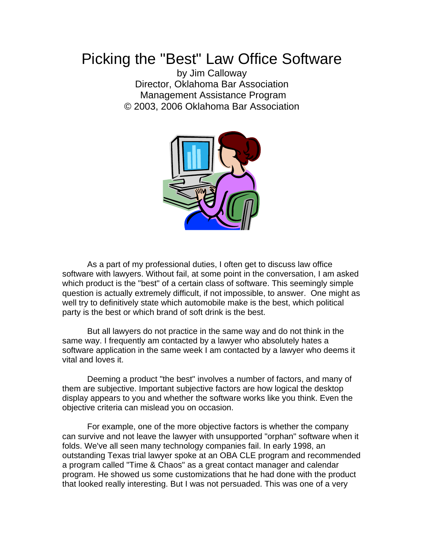## Picking the "Best" Law Office Software

by Jim Calloway Director, Oklahoma Bar Association Management Assistance Program © 2003, 2006 Oklahoma Bar Association



As a part of my professional duties, I often get to discuss law office software with lawyers. Without fail, at some point in the conversation, I am asked which product is the "best" of a certain class of software. This seemingly simple question is actually extremely difficult, if not impossible, to answer. One might as well try to definitively state which automobile make is the best, which political party is the best or which brand of soft drink is the best.

But all lawyers do not practice in the same way and do not think in the same way. I frequently am contacted by a lawyer who absolutely hates a software application in the same week I am contacted by a lawyer who deems it vital and loves it.

Deeming a product "the best" involves a number of factors, and many of them are subjective. Important subjective factors are how logical the desktop display appears to you and whether the software works like you think. Even the objective criteria can mislead you on occasion.

For example, one of the more objective factors is whether the company can survive and not leave the lawyer with unsupported "orphan" software when it folds. We've all seen many technology companies fail. In early 1998, an outstanding Texas trial lawyer spoke at an OBA CLE program and recommended a program called "Time & Chaos" as a great contact manager and calendar program. He showed us some customizations that he had done with the product that looked really interesting. But I was not persuaded. This was one of a very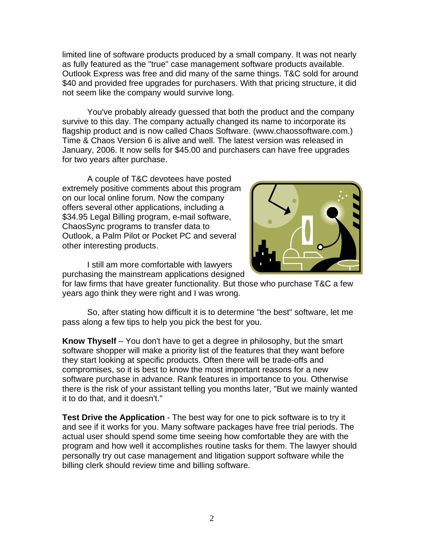limited line of software products produced by a small company. It was not nearly as fully featured as the "true" case management software products available. Outlook Express was free and did many of the same things. T&C sold for around \$40 and provided free upgrades for purchasers. With that pricing structure, it did not seem like the company would survive long.

You've probably already guessed that both the product and the company survive to this day. The company actually changed its name to incorporate its flagship product and is now called Chaos Software. (www.chaossoftware.com.) Time & Chaos Version 6 is alive and well. The latest version was released in January, 2006. It now sells for \$45.00 and purchasers can have free upgrades for two years after purchase.

A couple of T&C devotees have posted extremely positive comments about this program on our local online forum. Now the company offers several other applications, including a \$34.95 Legal Billing program, e-mail software, ChaosSync programs to transfer data to Outlook, a Palm Pilot or Pocket PC and several other interesting products.



I still am more comfortable with lawyers purchasing the mainstream applications designed

for law firms that have greater functionality. But those who purchase T&C a few years ago think they were right and I was wrong.

So, after stating how difficult it is to determine "the best" software, let me pass along a few tips to help you pick the best for you.

**Know Thyself** – You don't have to get a degree in philosophy, but the smart software shopper will make a priority list of the features that they want before they start looking at specific products. Often there will be trade-offs and compromises, so it is best to know the most important reasons for a new software purchase in advance. Rank features in importance to you. Otherwise there is the risk of your assistant telling you months later, "But we mainly wanted it to do that, and it doesn't."

**Test Drive the Application** - The best way for one to pick software is to try it and see if it works for you. Many software packages have free trial periods. The actual user should spend some time seeing how comfortable they are with the program and how well it accomplishes routine tasks for them. The lawyer should personally try out case management and litigation support software while the billing clerk should review time and billing software.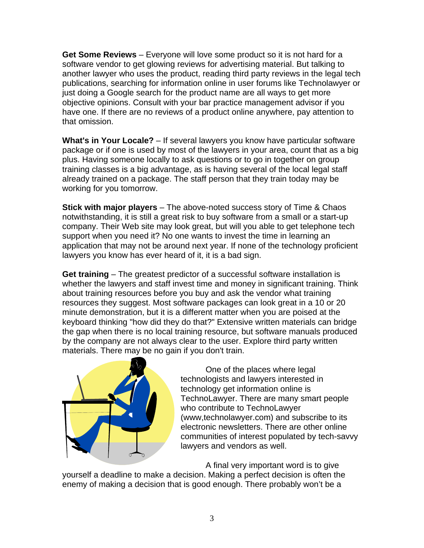**Get Some Reviews** – Everyone will love some product so it is not hard for a software vendor to get glowing reviews for advertising material. But talking to another lawyer who uses the product, reading third party reviews in the legal tech publications, searching for information online in user forums like Technolawyer or just doing a Google search for the product name are all ways to get more objective opinions. Consult with your bar practice management advisor if you have one. If there are no reviews of a product online anywhere, pay attention to that omission.

**What's in Your Locale?** – If several lawyers you know have particular software package or if one is used by most of the lawyers in your area, count that as a big plus. Having someone locally to ask questions or to go in together on group training classes is a big advantage, as is having several of the local legal staff already trained on a package. The staff person that they train today may be working for you tomorrow.

**Stick with major players** – The above-noted success story of Time & Chaos notwithstanding, it is still a great risk to buy software from a small or a start-up company. Their Web site may look great, but will you able to get telephone tech support when you need it? No one wants to invest the time in learning an application that may not be around next year. If none of the technology proficient lawyers you know has ever heard of it, it is a bad sign.

**Get training** – The greatest predictor of a successful software installation is whether the lawyers and staff invest time and money in significant training. Think about training resources before you buy and ask the vendor what training resources they suggest. Most software packages can look great in a 10 or 20 minute demonstration, but it is a different matter when you are poised at the keyboard thinking "how did they do that?" Extensive written materials can bridge the gap when there is no local training resource, but software manuals produced by the company are not always clear to the user. Explore third party written materials. There may be no gain if you don't train.



One of the places where legal technologists and lawyers interested in technology get information online is TechnoLawyer. There are many smart people who contribute to TechnoLawyer (www,technolawyer.com) and subscribe to its electronic newsletters. There are other online communities of interest populated by tech-savvy lawyers and vendors as well.

A final very important word is to give yourself a deadline to make a decision. Making a perfect decision is often the enemy of making a decision that is good enough. There probably won't be a